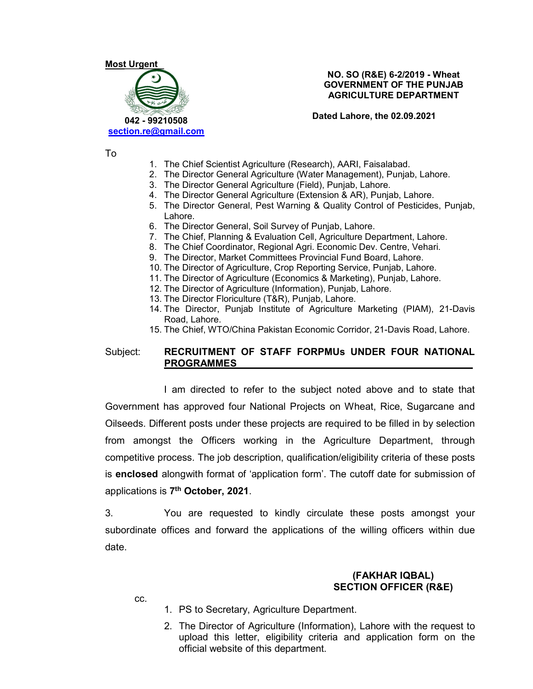# Most Urgent 042 - 99210508 section.re@gmail.com

NO. SO (R&E) 6-2/2019 - Wheat GOVERNMENT OF THE PUNJAB AGRICULTURE DEPARTMENT

Dated Lahore, the 02.09.2021

To

- 1. The Chief Scientist Agriculture (Research), AARI, Faisalabad.
- 2. The Director General Agriculture (Water Management), Punjab, Lahore.
- 3. The Director General Agriculture (Field), Punjab, Lahore.
- 4. The Director General Agriculture (Extension & AR), Punjab, Lahore.
- 5. The Director General, Pest Warning & Quality Control of Pesticides, Punjab, Lahore.
- 6. The Director General, Soil Survey of Punjab, Lahore.
- 7. The Chief, Planning & Evaluation Cell, Agriculture Department, Lahore.
- 8. The Chief Coordinator, Regional Agri. Economic Dev. Centre, Vehari.
- 9. The Director, Market Committees Provincial Fund Board, Lahore.
- 10. The Director of Agriculture, Crop Reporting Service, Punjab, Lahore.
- 11. The Director of Agriculture (Economics & Marketing), Punjab, Lahore.
- 12. The Director of Agriculture (Information), Punjab, Lahore.
- 13. The Director Floriculture (T&R), Punjab, Lahore.
- 14. The Director, Punjab Institute of Agriculture Marketing (PIAM), 21-Davis Road, Lahore.
- 15. The Chief, WTO/China Pakistan Economic Corridor, 21-Davis Road, Lahore.

#### Subject: RECRUITMENT OF STAFF FORPMUs UNDER FOUR NATIONAL PROGRAMMES

 I am directed to refer to the subject noted above and to state that Government has approved four National Projects on Wheat, Rice, Sugarcane and Oilseeds. Different posts under these projects are required to be filled in by selection from amongst the Officers working in the Agriculture Department, through competitive process. The job description, qualification/eligibility criteria of these posts is enclosed alongwith format of 'application form'. The cutoff date for submission of applications is 7<sup>th</sup> October, 2021.

th October, 2021. 3. You are requested to kindly circulate these posts amongst your subordinate offices and forward the applications of the willing officers within due date.

#### (FAKHAR IQBAL) SECTION OFFICER (R&E)

cc.

- 1. PS to Secretary, Agriculture Department.
- 2. The Director of Agriculture (Information), Lahore with the request to upload this letter, eligibility criteria and application form on the official website of this department.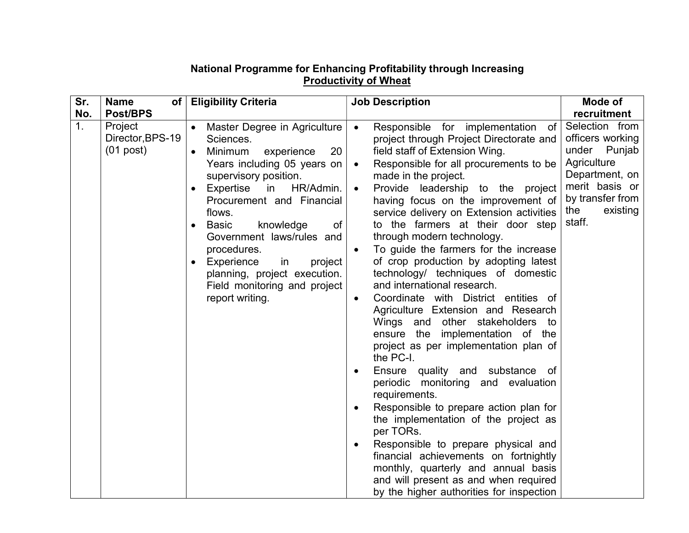| Sr.            | <b>Name</b><br>of <sub>l</sub>             | <b>Eligibility Criteria</b>                                                                                                                                                                                                                                                                                                                                                                                           | <b>Job Description</b>                                                                                                                                                                                                                                                                                                                                                                                                                                                                                                                                                                                                                                                                                                                                                                                                                                                                                                                                                                                                                                                                                                                                                                                                                     | Mode of                                                                                                                                                   |
|----------------|--------------------------------------------|-----------------------------------------------------------------------------------------------------------------------------------------------------------------------------------------------------------------------------------------------------------------------------------------------------------------------------------------------------------------------------------------------------------------------|--------------------------------------------------------------------------------------------------------------------------------------------------------------------------------------------------------------------------------------------------------------------------------------------------------------------------------------------------------------------------------------------------------------------------------------------------------------------------------------------------------------------------------------------------------------------------------------------------------------------------------------------------------------------------------------------------------------------------------------------------------------------------------------------------------------------------------------------------------------------------------------------------------------------------------------------------------------------------------------------------------------------------------------------------------------------------------------------------------------------------------------------------------------------------------------------------------------------------------------------|-----------------------------------------------------------------------------------------------------------------------------------------------------------|
| No.            | Post/BPS                                   |                                                                                                                                                                                                                                                                                                                                                                                                                       |                                                                                                                                                                                                                                                                                                                                                                                                                                                                                                                                                                                                                                                                                                                                                                                                                                                                                                                                                                                                                                                                                                                                                                                                                                            | recruitment                                                                                                                                               |
| 1 <sub>1</sub> | Project<br>Director, BPS-19<br>$(01$ post) | Master Degree in Agriculture<br>Sciences.<br>Minimum<br>experience<br>20<br>$\bullet$<br>Years including 05 years on<br>supervisory position.<br>Expertise<br>HR/Admin.<br>in<br>Procurement and Financial<br>flows.<br>knowledge<br><b>Basic</b><br>of<br>Government laws/rules and<br>procedures.<br>Experience<br>in<br>project<br>planning, project execution.<br>Field monitoring and project<br>report writing. | Responsible for implementation<br>of<br>$\bullet$<br>project through Project Directorate and<br>field staff of Extension Wing.<br>Responsible for all procurements to be<br>$\bullet$<br>made in the project.<br>Provide leadership to the project<br>$\bullet$<br>having focus on the improvement of<br>service delivery on Extension activities<br>to the farmers at their door step<br>through modern technology.<br>To guide the farmers for the increase<br>of crop production by adopting latest<br>technology/ techniques of domestic<br>and international research.<br>Coordinate with District entities of<br>$\bullet$<br>Agriculture Extension and Research<br>Wings and other stakeholders<br>to<br>ensure the implementation of the<br>project as per implementation plan of<br>the PC-I.<br>Ensure quality and substance of<br>$\bullet$<br>periodic monitoring and evaluation<br>requirements.<br>Responsible to prepare action plan for<br>$\bullet$<br>the implementation of the project as<br>per TORs.<br>Responsible to prepare physical and<br>٠<br>financial achievements on fortnightly<br>monthly, quarterly and annual basis<br>and will present as and when required<br>by the higher authorities for inspection | Selection from<br>officers working<br>under<br>Punjab<br>Agriculture<br>Department, on<br>merit basis or<br>by transfer from<br>the<br>existing<br>staff. |

### National Programme for Enhancing Profitability through Increasing Productivity of Wheat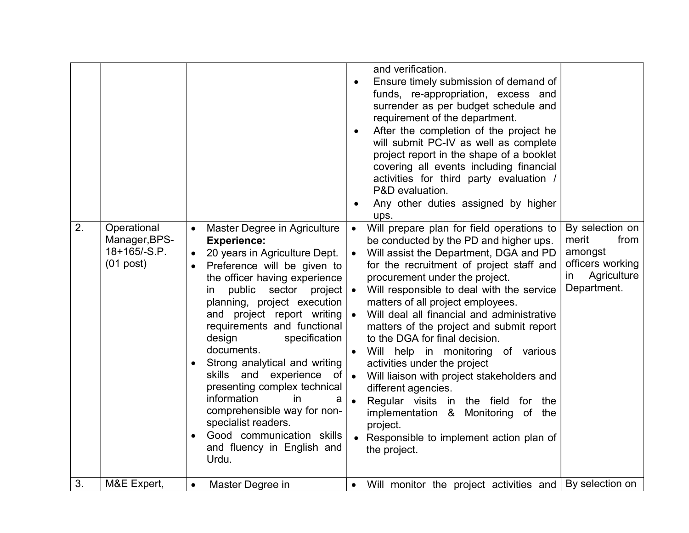| Good communication skills<br>Responsible to implement action plan of<br>and fluency in English and<br>the project.<br>Urdu.<br>3.<br>M&E Expert,<br>Will monitor the project activities and   By selection on<br>Master Degree in<br>$\bullet$<br>$\bullet$ |
|-------------------------------------------------------------------------------------------------------------------------------------------------------------------------------------------------------------------------------------------------------------|
| specialist readers.<br>project.                                                                                                                                                                                                                             |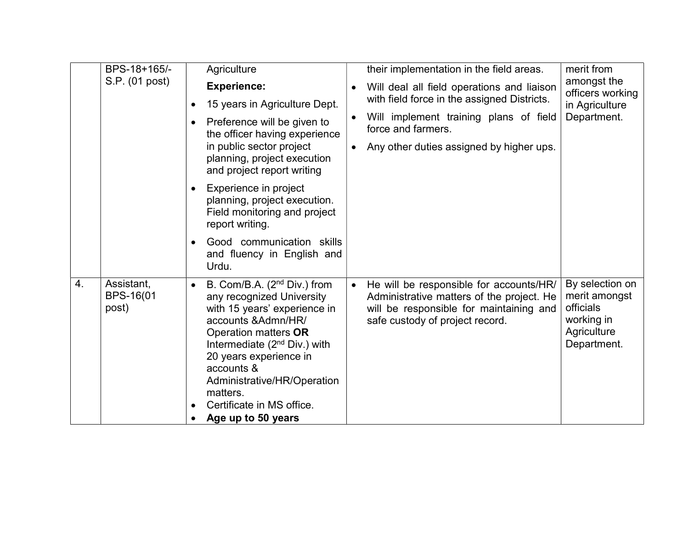|    | BPS-18+165/-                     | Agriculture                                                                                                                                                                                                                                                                                                                              |           | their implementation in the field areas.                                                                                                                           | merit from                                                                                |
|----|----------------------------------|------------------------------------------------------------------------------------------------------------------------------------------------------------------------------------------------------------------------------------------------------------------------------------------------------------------------------------------|-----------|--------------------------------------------------------------------------------------------------------------------------------------------------------------------|-------------------------------------------------------------------------------------------|
|    | S.P. (01 post)                   | <b>Experience:</b>                                                                                                                                                                                                                                                                                                                       |           | Will deal all field operations and liaison                                                                                                                         | amongst the<br>officers working<br>in Agriculture                                         |
|    |                                  | 15 years in Agriculture Dept.                                                                                                                                                                                                                                                                                                            |           | with field force in the assigned Districts.                                                                                                                        |                                                                                           |
|    |                                  | Preference will be given to<br>the officer having experience<br>in public sector project<br>planning, project execution<br>and project report writing                                                                                                                                                                                    |           | Will implement training plans of field<br>force and farmers.                                                                                                       | Department.                                                                               |
|    |                                  |                                                                                                                                                                                                                                                                                                                                          |           | Any other duties assigned by higher ups.                                                                                                                           |                                                                                           |
|    |                                  | Experience in project<br>$\bullet$<br>planning, project execution.<br>Field monitoring and project<br>report writing.                                                                                                                                                                                                                    |           |                                                                                                                                                                    |                                                                                           |
|    |                                  | Good communication skills<br>and fluency in English and<br>Urdu.                                                                                                                                                                                                                                                                         |           |                                                                                                                                                                    |                                                                                           |
| 4. | Assistant,<br>BPS-16(01<br>post) | B. Com/B.A. (2 <sup>nd</sup> Div.) from<br>$\bullet$<br>any recognized University<br>with 15 years' experience in<br>accounts & Admn/HR/<br>Operation matters OR<br>Intermediate $(2nd Div.)$ with<br>20 years experience in<br>accounts &<br>Administrative/HR/Operation<br>matters.<br>Certificate in MS office.<br>Age up to 50 years | $\bullet$ | He will be responsible for accounts/HR/<br>Administrative matters of the project. He<br>will be responsible for maintaining and<br>safe custody of project record. | By selection on<br>merit amongst<br>officials<br>working in<br>Agriculture<br>Department. |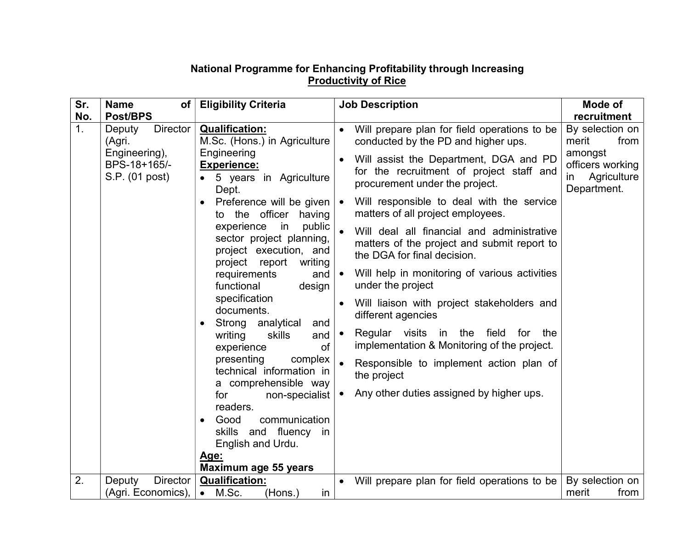## National Programme for Enhancing Profitability through Increasing **Productivity of Rice**

| Sr.      | <b>Name</b><br>of <sub>l</sub>                                                         | <b>Eligibility Criteria</b>                                                                                                                                                                                                                                                                                                                                                                                                                                                                                                                                                                                                                                                               | <b>Job Description</b>                                                                                                                                                                                                                                                                                                                                                                                                                                                                                                                                                                                                                                                                                                                                                                                       | Mode of                                                                                             |
|----------|----------------------------------------------------------------------------------------|-------------------------------------------------------------------------------------------------------------------------------------------------------------------------------------------------------------------------------------------------------------------------------------------------------------------------------------------------------------------------------------------------------------------------------------------------------------------------------------------------------------------------------------------------------------------------------------------------------------------------------------------------------------------------------------------|--------------------------------------------------------------------------------------------------------------------------------------------------------------------------------------------------------------------------------------------------------------------------------------------------------------------------------------------------------------------------------------------------------------------------------------------------------------------------------------------------------------------------------------------------------------------------------------------------------------------------------------------------------------------------------------------------------------------------------------------------------------------------------------------------------------|-----------------------------------------------------------------------------------------------------|
| No.      | <b>Post/BPS</b>                                                                        |                                                                                                                                                                                                                                                                                                                                                                                                                                                                                                                                                                                                                                                                                           |                                                                                                                                                                                                                                                                                                                                                                                                                                                                                                                                                                                                                                                                                                                                                                                                              | recruitment                                                                                         |
| 1.<br>2. | <b>Director</b><br>Deputy<br>(Agri.<br>Engineering),<br>BPS-18+165/-<br>S.P. (01 post) | <b>Qualification:</b><br>M.Sc. (Hons.) in Agriculture<br>Engineering<br><b>Experience:</b><br>5 years in Agriculture<br>Dept.<br>Preference will be given<br>to the officer<br>having<br>public<br>experience<br>in<br>sector project planning,<br>project execution, and<br>project report<br>writing<br>requirements<br>and<br>functional<br>design<br>specification<br>documents.<br>Strong analytical<br>and<br>writing<br>skills<br>and<br>of<br>experience<br>presenting<br>complex<br>technical information in<br>a comprehensible way<br>non-specialist<br>for<br>readers.<br>communication<br>Good<br>skills and fluency in<br>English and Urdu.<br>Age:<br>Maximum age 55 years | Will prepare plan for field operations to be<br>conducted by the PD and higher ups.<br>Will assist the Department, DGA and PD<br>for the recruitment of project staff and<br>procurement under the project.<br>Will responsible to deal with the service<br>matters of all project employees.<br>Will deal all financial and administrative<br>matters of the project and submit report to<br>the DGA for final decision.<br>Will help in monitoring of various activities<br>$\bullet$<br>under the project<br>Will liaison with project stakeholders and<br>$\bullet$<br>different agencies<br>Regular visits in the field<br>for<br>the<br>$\bullet$<br>implementation & Monitoring of the project.<br>Responsible to implement action plan of<br>the project<br>Any other duties assigned by higher ups. | By selection on<br>from<br>merit<br>amongst<br>officers working<br>Agriculture<br>in<br>Department. |
|          | <b>Director</b><br>Deputy<br>(Agri. Economics),                                        | <b>Qualification:</b><br>M.Sc.<br>(Hons.)<br>$\bullet$<br>in                                                                                                                                                                                                                                                                                                                                                                                                                                                                                                                                                                                                                              | Will prepare plan for field operations to be<br>$\bullet$                                                                                                                                                                                                                                                                                                                                                                                                                                                                                                                                                                                                                                                                                                                                                    | By selection on<br>from<br>merit                                                                    |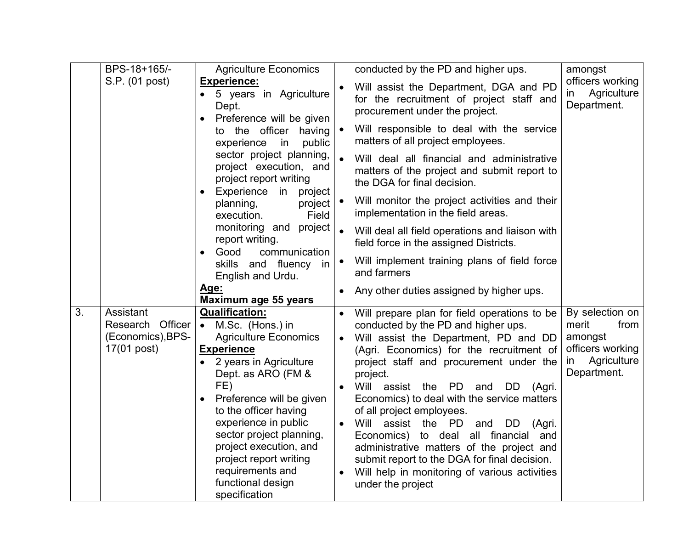|    | BPS-18+165/-                                                      | <b>Agriculture Economics</b>                                                                                                                                                                                                                                                                                                                                                   |                                     | conducted by the PD and higher ups.                                                                                                                                                                                                                                                                                                                                                                                                                                                                                                                                                                        | amongst                                                                                             |
|----|-------------------------------------------------------------------|--------------------------------------------------------------------------------------------------------------------------------------------------------------------------------------------------------------------------------------------------------------------------------------------------------------------------------------------------------------------------------|-------------------------------------|------------------------------------------------------------------------------------------------------------------------------------------------------------------------------------------------------------------------------------------------------------------------------------------------------------------------------------------------------------------------------------------------------------------------------------------------------------------------------------------------------------------------------------------------------------------------------------------------------------|-----------------------------------------------------------------------------------------------------|
|    | S.P. (01 post)                                                    | <b>Experience:</b><br>• 5 years in Agriculture<br>Dept.<br>Preference will be given                                                                                                                                                                                                                                                                                            |                                     | Will assist the Department, DGA and PD<br>for the recruitment of project staff and<br>procurement under the project.                                                                                                                                                                                                                                                                                                                                                                                                                                                                                       | officers working<br>Agriculture<br>in<br>Department.                                                |
|    |                                                                   | to the officer having<br>experience<br>in<br>public                                                                                                                                                                                                                                                                                                                            |                                     | Will responsible to deal with the service<br>matters of all project employees.                                                                                                                                                                                                                                                                                                                                                                                                                                                                                                                             |                                                                                                     |
|    |                                                                   | sector project planning,<br>project execution, and<br>project report writing<br>Experience in<br>project<br>$\bullet$                                                                                                                                                                                                                                                          |                                     | Will deal all financial and administrative<br>matters of the project and submit report to<br>the DGA for final decision.                                                                                                                                                                                                                                                                                                                                                                                                                                                                                   |                                                                                                     |
|    |                                                                   | planning,<br>project<br>Field<br>execution.                                                                                                                                                                                                                                                                                                                                    |                                     | Will monitor the project activities and their<br>implementation in the field areas.                                                                                                                                                                                                                                                                                                                                                                                                                                                                                                                        |                                                                                                     |
|    |                                                                   | monitoring and project<br>report writing.<br>communication<br>Good<br>$\bullet$                                                                                                                                                                                                                                                                                                |                                     | Will deal all field operations and liaison with<br>field force in the assigned Districts.                                                                                                                                                                                                                                                                                                                                                                                                                                                                                                                  |                                                                                                     |
|    |                                                                   | skills and fluency<br>in<br>English and Urdu.                                                                                                                                                                                                                                                                                                                                  |                                     | Will implement training plans of field force<br>and farmers                                                                                                                                                                                                                                                                                                                                                                                                                                                                                                                                                |                                                                                                     |
|    |                                                                   | <u>Age:</u><br>Maximum age 55 years                                                                                                                                                                                                                                                                                                                                            |                                     | Any other duties assigned by higher ups.                                                                                                                                                                                                                                                                                                                                                                                                                                                                                                                                                                   |                                                                                                     |
| 3. | Assistant<br>Research Officer<br>(Economics), BPS-<br>17(01 post) | <b>Qualification:</b><br>• M.Sc. (Hons.) in<br><b>Agriculture Economics</b><br><b>Experience</b><br>2 years in Agriculture<br>Dept. as ARO (FM &<br>FE)<br>Preference will be given<br>to the officer having<br>experience in public<br>sector project planning,<br>project execution, and<br>project report writing<br>requirements and<br>functional design<br>specification | $\bullet$<br>$\bullet$<br>$\bullet$ | Will prepare plan for field operations to be<br>conducted by the PD and higher ups.<br>Will assist the Department, PD and DD<br>(Agri. Economics) for the recruitment of<br>project staff and procurement under the<br>project.<br>Will assist the PD and<br>DD (Agri.<br>Economics) to deal with the service matters<br>of all project employees.<br>Will assist the PD<br>and<br>DD<br>(Agri.<br>Economics) to deal all financial and<br>administrative matters of the project and<br>submit report to the DGA for final decision.<br>Will help in monitoring of various activities<br>under the project | By selection on<br>merit<br>from<br>amongst<br>officers working<br>Agriculture<br>in<br>Department. |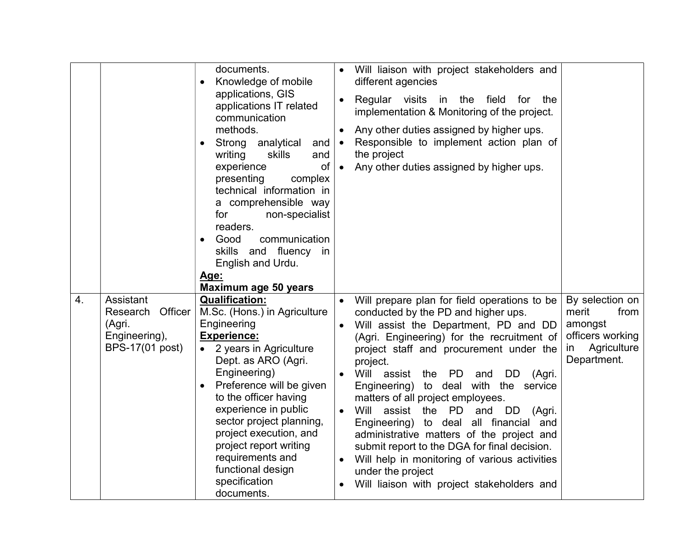|                  |                                                                                | documents.<br>Knowledge of mobile<br>applications, GIS<br>applications IT related<br>communication<br>methods.<br>Strong analytical<br>and<br>skills<br>writing<br>and<br>experience<br>of<br>presenting<br>complex<br>technical information in<br>a comprehensible way<br>for<br>non-specialist<br>readers.<br>communication<br>Good<br>skills and fluency<br>in<br>English and Urdu.             | $\bullet$<br>$\bullet$<br>$\bullet$ | Will liaison with project stakeholders and<br>different agencies<br>Regular visits in the field for<br>the<br>implementation & Monitoring of the project.<br>Any other duties assigned by higher ups.<br>Responsible to implement action plan of<br>the project<br>Any other duties assigned by higher ups.                                                                                                                                                                                                                                                                                                                                                                 |                                                                                                     |
|------------------|--------------------------------------------------------------------------------|----------------------------------------------------------------------------------------------------------------------------------------------------------------------------------------------------------------------------------------------------------------------------------------------------------------------------------------------------------------------------------------------------|-------------------------------------|-----------------------------------------------------------------------------------------------------------------------------------------------------------------------------------------------------------------------------------------------------------------------------------------------------------------------------------------------------------------------------------------------------------------------------------------------------------------------------------------------------------------------------------------------------------------------------------------------------------------------------------------------------------------------------|-----------------------------------------------------------------------------------------------------|
|                  |                                                                                | <u> Age:</u><br>Maximum age 50 years                                                                                                                                                                                                                                                                                                                                                               |                                     |                                                                                                                                                                                                                                                                                                                                                                                                                                                                                                                                                                                                                                                                             |                                                                                                     |
| $\overline{4}$ . | Assistant<br>Officer<br>Research<br>(Agri.<br>Engineering),<br>BPS-17(01 post) | <b>Qualification:</b><br>M.Sc. (Hons.) in Agriculture<br>Engineering<br><b>Experience:</b><br>• 2 years in Agriculture<br>Dept. as ARO (Agri.<br>Engineering)<br>Preference will be given<br>to the officer having<br>experience in public<br>sector project planning,<br>project execution, and<br>project report writing<br>requirements and<br>functional design<br>specification<br>documents. | $\bullet$                           | Will prepare plan for field operations to be<br>conducted by the PD and higher ups.<br>Will assist the Department, PD and DD<br>(Agri. Engineering) for the recruitment of<br>project staff and procurement under the<br>project.<br>Will assist<br>the<br>PD<br>DD<br>and<br>(Agri.<br>Engineering) to deal with the service<br>matters of all project employees.<br>Will<br>assist the PD and<br>DD.<br>(Agri.<br>Engineering) to deal all financial and<br>administrative matters of the project and<br>submit report to the DGA for final decision.<br>Will help in monitoring of various activities<br>under the project<br>Will liaison with project stakeholders and | By selection on<br>merit<br>from<br>amongst<br>officers working<br>Agriculture<br>in<br>Department. |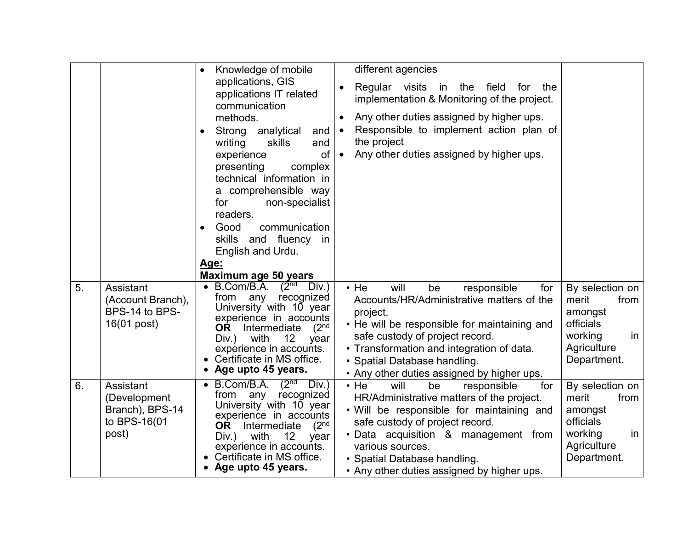|    |                                                                       | Knowledge of mobile<br>$\bullet$<br>applications, GIS<br>applications IT related<br>communication<br>methods.<br>Strong<br>analytical<br>and<br>skills<br>writing<br>and<br>of<br>experience<br>presenting<br>complex<br>technical information in<br>a comprehensible way<br>non-specialist<br>for<br>readers.<br>Good<br>communication<br>skills and fluency<br>in<br>English and Urdu.<br>Age:<br>Maximum age 50 years | different agencies<br>Regular visits in the<br>field<br>for<br>the<br>$\bullet$<br>implementation & Monitoring of the project.<br>Any other duties assigned by higher ups.<br>$\bullet$<br>Responsible to implement action plan of<br>$\bullet$<br>the project<br>Any other duties assigned by higher ups.<br>$\bullet$ |                                                                                                         |
|----|-----------------------------------------------------------------------|--------------------------------------------------------------------------------------------------------------------------------------------------------------------------------------------------------------------------------------------------------------------------------------------------------------------------------------------------------------------------------------------------------------------------|-------------------------------------------------------------------------------------------------------------------------------------------------------------------------------------------------------------------------------------------------------------------------------------------------------------------------|---------------------------------------------------------------------------------------------------------|
| 5. | Assistant<br>(Account Branch),<br>BPS-14 to BPS-<br>16(01 post)       | B.Com/B.A.<br>$(2nd$ Div.)<br>recognized<br>from<br>any<br>University with 10 year<br>experience in accounts<br>(2 <sup>nd</sup><br>OR I<br>Intermediate<br>Div.) with<br>12 <sup>°</sup><br>year<br>experience in accounts.<br>Certificate in MS office.<br>Age upto 45 years.                                                                                                                                          | $\cdot$ He<br>will<br>be<br>responsible<br>for<br>Accounts/HR/Administrative matters of the<br>project.<br>• He will be responsible for maintaining and<br>safe custody of project record.<br>• Transformation and integration of data.<br>• Spatial Database handling.<br>• Any other duties assigned by higher ups.   | By selection on<br>merit<br>from<br>amongst<br>officials<br>working<br>in<br>Agriculture<br>Department. |
| 6. | Assistant<br>(Development<br>Branch), BPS-14<br>to BPS-16(01<br>post) | (2 <sup>nd</sup> )<br>B.Com/B.A.<br>Div.)<br>recognized<br>from<br>any<br>University with 10 year<br>experience in accounts<br>(2 <sup>nd</sup><br>OR.<br>Intermediate<br>with<br>12<br>Div.)<br>year<br>experience in accounts.<br>Certificate in MS office.<br>Age upto 45 years.                                                                                                                                      | $\cdot$ He<br>will<br>responsible<br>be<br>for<br>HR/Administrative matters of the project.<br>. Will be responsible for maintaining and<br>safe custody of project record.<br>· Data acquisition & management from<br>various sources.<br>• Spatial Database handling.<br>• Any other duties assigned by higher ups.   | By selection on<br>merit<br>from<br>amongst<br>officials<br>working<br>in<br>Agriculture<br>Department. |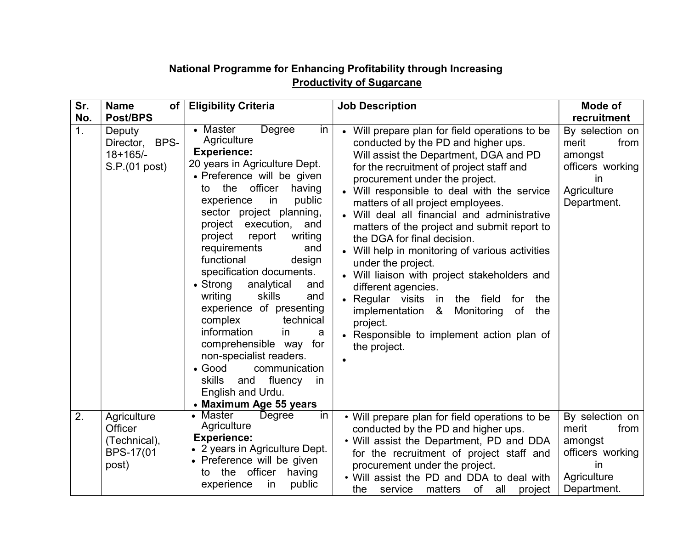# National Programme for Enhancing Profitability through Increasing **Productivity of Sugarcane**

| Sr. | <b>Name</b><br>of                                            | <b>Eligibility Criteria</b>                                                                                                                                                                                                                                                                                                                                                                                                                                                                                                                                                                                                                                                                                     | <b>Job Description</b>                                                                                                                                                                                                                                                                                                                                                                                                                                                                                                                                                                                                                                                                                                                            | Mode of                                                                                                    |
|-----|--------------------------------------------------------------|-----------------------------------------------------------------------------------------------------------------------------------------------------------------------------------------------------------------------------------------------------------------------------------------------------------------------------------------------------------------------------------------------------------------------------------------------------------------------------------------------------------------------------------------------------------------------------------------------------------------------------------------------------------------------------------------------------------------|---------------------------------------------------------------------------------------------------------------------------------------------------------------------------------------------------------------------------------------------------------------------------------------------------------------------------------------------------------------------------------------------------------------------------------------------------------------------------------------------------------------------------------------------------------------------------------------------------------------------------------------------------------------------------------------------------------------------------------------------------|------------------------------------------------------------------------------------------------------------|
| No. | <b>Post/BPS</b>                                              |                                                                                                                                                                                                                                                                                                                                                                                                                                                                                                                                                                                                                                                                                                                 |                                                                                                                                                                                                                                                                                                                                                                                                                                                                                                                                                                                                                                                                                                                                                   | recruitment                                                                                                |
| 1.  | Deputy<br>BPS-<br>Director,<br>$18+165/-$<br>S.P.(01 post)   | Degree<br>• Master<br>in<br>Agriculture<br><b>Experience:</b><br>20 years in Agriculture Dept.<br>• Preference will be given<br>officer<br>the<br>having<br>to<br>public<br>experience<br>in<br>sector project planning,<br>project execution,<br>and<br>writing<br>project<br>report<br>requirements<br>and<br>functional<br>design<br>specification documents.<br>$\bullet$ Strong<br>analytical<br>and<br>writing<br>skills<br>and<br>experience of presenting<br>complex<br>technical<br>information<br>in.<br>a<br>comprehensible way for<br>non-specialist readers.<br>$\bullet$ Good<br>communication<br><b>skills</b><br>fluency<br>and<br><sub>in</sub><br>English and Urdu.<br>• Maximum Age 55 years | Will prepare plan for field operations to be<br>conducted by the PD and higher ups.<br>Will assist the Department, DGA and PD<br>for the recruitment of project staff and<br>procurement under the project.<br>• Will responsible to deal with the service<br>matters of all project employees.<br>Will deal all financial and administrative<br>matters of the project and submit report to<br>the DGA for final decision.<br>• Will help in monitoring of various activities<br>under the project.<br>Will liaison with project stakeholders and<br>different agencies.<br>• Regular visits in<br>the field<br>for<br>the<br>of<br>the<br>implementation &<br>Monitoring<br>project.<br>Responsible to implement action plan of<br>the project. | By selection on<br>from<br>merit<br>amongst<br>officers working<br><i>in</i><br>Agriculture<br>Department. |
| 2.  | Agriculture<br>Officer<br>(Technical),<br>BPS-17(01<br>post) | • Master<br>Degree<br>in<br>Agriculture<br><b>Experience:</b><br>• 2 years in Agriculture Dept.<br>• Preference will be given<br>the officer<br>having<br>to<br>public<br>experience<br>in                                                                                                                                                                                                                                                                                                                                                                                                                                                                                                                      | • Will prepare plan for field operations to be<br>conducted by the PD and higher ups.<br>. Will assist the Department, PD and DDA<br>for the recruitment of project staff and<br>procurement under the project.<br>• Will assist the PD and DDA to deal with<br>the<br>matters<br>of<br>all<br>service<br>project                                                                                                                                                                                                                                                                                                                                                                                                                                 | By selection on<br>merit<br>from<br>amongst<br>officers working<br>in<br>Agriculture<br>Department.        |